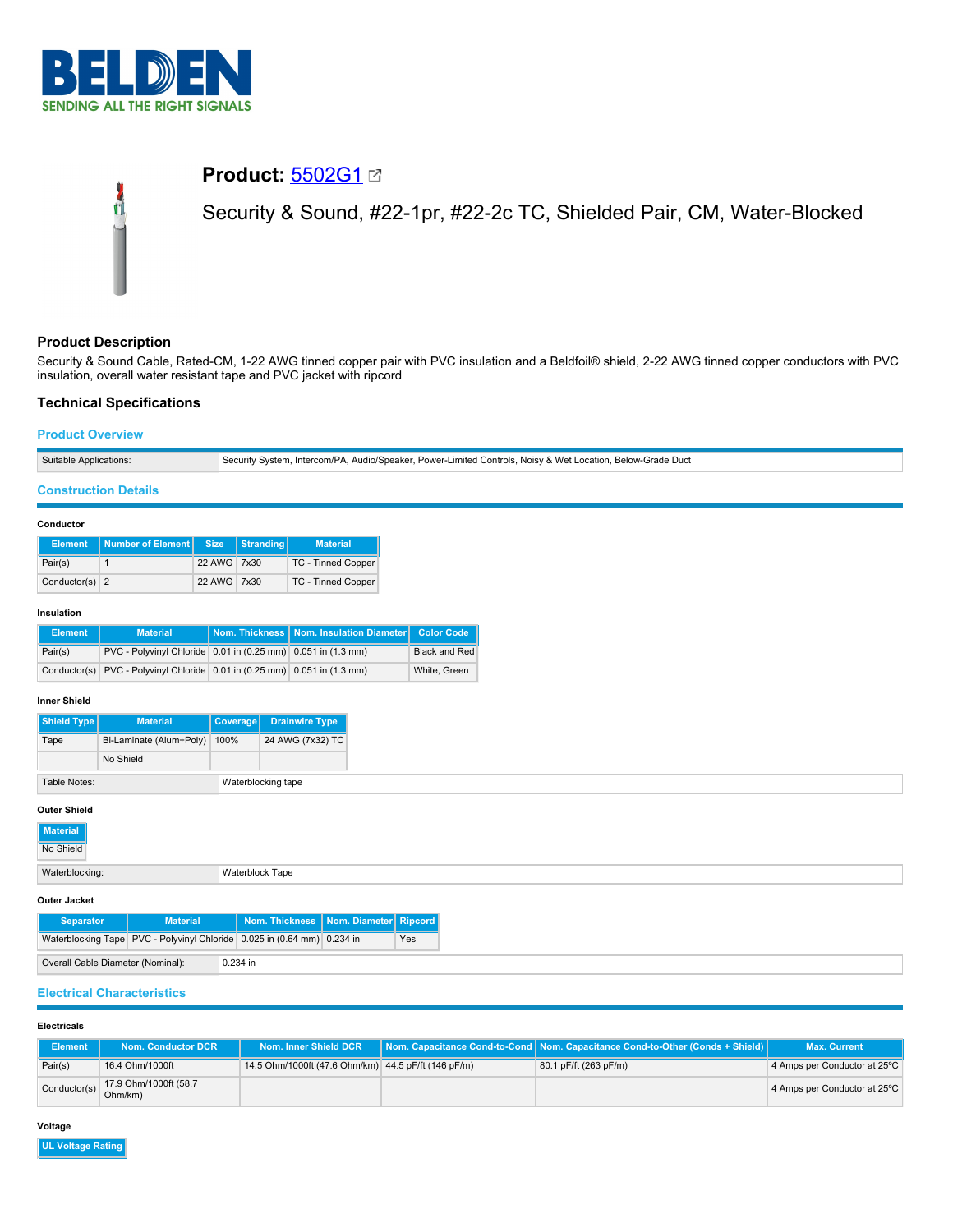

# **Product:** [5502G1](https://catalog.belden.com/index.cfm?event=pd&p=PF_5502G1&tab=downloads) Security & Sound, #22-1pr, #22-2c TC, Shielded Pair, CM, Water-Blocked

# **Product Description**

Security & Sound Cable, Rated-CM, 1-22 AWG tinned copper pair with PVC insulation and a Beldfoil® shield, 2-22 AWG tinned copper conductors with PVC insulation, overall water resistant tape and PVC jacket with ripcord

## **Technical Specifications**

Ű

## **Product Overview**

|  | Suitable Applications: | Security System, Intercom/PA, Audio/Speaker, Power-Limited Controls, Noisy & Wet Location, Below-Grade Duct |
|--|------------------------|-------------------------------------------------------------------------------------------------------------|
|--|------------------------|-------------------------------------------------------------------------------------------------------------|

## **Construction Details**

#### **Conductor**

|                  | Element   Number of Element   Size |             | Stranding | <b>Material</b>    |
|------------------|------------------------------------|-------------|-----------|--------------------|
| Pair(s)          |                                    | 22 AWG 7x30 |           | TC - Tinned Copper |
| Conductor(s) $2$ |                                    | 22 AWG 7x30 |           | TC - Tinned Copper |

#### **Insulation**

| <b>Element</b> | <b>Material</b>                                                           | Nom. Thickness   Nom. Insulation Diameter   Color Code |                      |
|----------------|---------------------------------------------------------------------------|--------------------------------------------------------|----------------------|
| Pair(s)        | PVC - Polyvinyl Chloride 0.01 in (0.25 mm) 0.051 in (1.3 mm)              |                                                        | <b>Black and Red</b> |
|                | Conductor(s) PVC - Polyvinyl Chloride 0.01 in (0.25 mm) 0.051 in (1.3 mm) |                                                        | White, Green         |

#### **Inner Shield**

| <b>Shield Type</b> | <b>Material</b>         | Coverage | <b>Drainwire Type</b> |
|--------------------|-------------------------|----------|-----------------------|
| Tape               | Bi-Laminate (Alum+Poly) | 100%     | 24 AWG (7x32) TC      |
|                    | No Shield               |          |                       |
| Table Notes:       |                         |          | Waterblocking tape    |

#### **Outer Shield**

| <b>OULGI SILIGIU</b> |                 |                 |                                          |  |  |
|----------------------|-----------------|-----------------|------------------------------------------|--|--|
| Material             |                 |                 |                                          |  |  |
| No Shield            |                 |                 |                                          |  |  |
| Waterblocking:       |                 | Waterblock Tape |                                          |  |  |
| Outer Jacket         |                 |                 |                                          |  |  |
| <b>Separator</b>     | <b>Material</b> |                 | Nom. Thickness   Nom. Diameter   Ripcord |  |  |

| <b>Separator</b>                                | <b>Material</b>                                                               | Nom. Thickness   Nom. Diameter   Ripcord |  |     |
|-------------------------------------------------|-------------------------------------------------------------------------------|------------------------------------------|--|-----|
|                                                 | Waterblocking Tape   PVC - Polyvinyl Chloride   0.025 in (0.64 mm)   0.234 in |                                          |  | Yes |
| Overall Cable Diameter (Nominal):<br>$0.234$ in |                                                                               |                                          |  |     |

# **Electrical Characteristics**

## **Electricals**

| <b>Element</b> | Nom. Conductor DCR               | Nom. Inner Shield DCR                               | Nom. Capacitance Cond-to-Cond   Nom. Capacitance Cond-to-Other (Conds + Shield) | <b>Max. Current</b>          |
|----------------|----------------------------------|-----------------------------------------------------|---------------------------------------------------------------------------------|------------------------------|
| Pair(s)        | 16.4 Ohm/1000ft                  | 14.5 Ohm/1000ft (47.6 Ohm/km) 44.5 pF/ft (146 pF/m) | 80.1 pF/ft (263 pF/m)                                                           | 4 Amps per Conductor at 25°C |
| Conductor(s)   | 17.9 Ohm/1000ft (58.7<br>Ohm/km) |                                                     |                                                                                 | 4 Amps per Conductor at 25°C |

#### **Voltage**